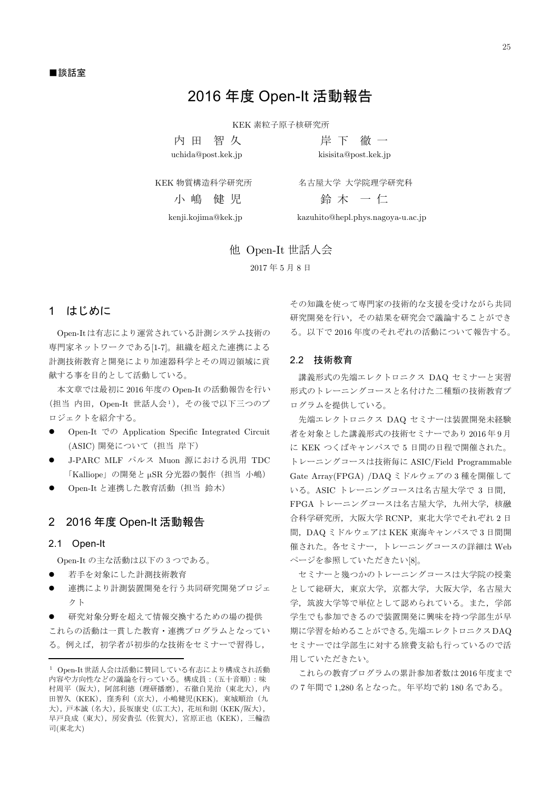# 2016 年度 Open-It 活動報告

KEK 素粒子原子核研究所

内 田 智久 uchida@post.kek.jp

岸下徹一 kisisita@post.kek.jp

KEK 物質構造科学研究所

名古屋大学 大学院理学研究科 鈴木 一仁

kenji.kojima@kek.jp

小 嶋 健 児

kazuhito@hepl.phys.nagoya-u.ac.jp

他 Open-It 世話人会

2017年5月8日

### 1 はじめに

Open-Itは有志により運営されている計測システム技術の 専門家ネットワークである[1-7]。組織を超えた連携による 計測技術教育と開発により加速器科学とその周辺領域に貢 献する事を目的として活動している。

本文章では最初に 2016年度の Open-It の活動報告を行い (担当 内田, Open-It 世話人会1), その後で以下三つのプ ロジェクトを紹介する。

- Open-It  $\mathfrak{S} \mathcal{D}$  Application Specific Integrated Circuit (ASIC) 開発について (担当 岸下)
- J-PARC MLF パルス Muon 源における汎用 TDC 「Kalliope」の開発とµSR 分光器の製作 (担当 小嶋)
- Open-It と連携した教育活動 (担当 鈴木)

#### 2 2016 年度 Open-It 活動報告

#### 2.1 Open-It

Open-It の主な活動は以下の3つである。

- 若手を対象にした計測技術教育
- 連携により計測装置開発を行う共同研究開発プロジェ クト

研究対象分野を超えて情報交換するための場の提供 これらの活動は一貫した教育・連携プログラムとなってい る。例えば、初学者が初歩的な技術をセミナーで習得し,

その知識を使って専門家の技術的な支援を受けながら共同 研究開発を行い、その結果を研究会で議論することができ る。以下で2016年度のそれぞれの活動について報告する。

#### 2.2 技術教育

講義形式の先端エレクトロニクス DAQ セミナーと実習 形式のトレーニングコースと名付けた二種類の技術教育プ ログラムを提供している。

先端エレクトロニクス DAQ セミナーは装置開発未経験 者を対象とした講義形式の技術セミナーであり2016年9月 に KEK つくばキャンパスで5日間の日程で開催された。 トレーニングコースは技術毎に ASIC/Field Programmable Gate Array(FPGA) /DAQ ミドルウェアの3種を開催して いる。ASICトレーニングコースは名古屋大学で3日間, FPGA トレーニングコースは名古屋大学、九州大学、核融 合科学研究所,大阪大学 RCNP,東北大学でそれぞれ2日 間、DAQ ミドルウェアは KEK 東海キャンパスで3日間開 催された。各セミナー、トレーニングコースの詳細は Web ページを参照していただきたい[8]。

セミナーと幾つかのトレーニングコースは大学院の授業 として総研大, 東京大学, 京都大学, 大阪大学, 名古屋大 学、筑波大学等で単位として認められている。また、学部 学生でも参加できるので装置開発に興味を持つ学部生が早 期に学習を始めることができる。先端エレクトロニクスDAQ セミナーでは学部生に対する旅費支給も行っているので活 用していただきたい。

これらの教育プログラムの累計参加者数は2016年度まで の7年間で1.280名となった。年平均で約180名である。

<sup>1</sup> Open-It世話人会は活動に賛同している有志により構成され活動 内容や方向性などの議論を行っている。構成員: (五十音順):味 村周平 (阪大), 阿部利徳 (理研播磨), 石徹白晃治 (東北大), 内 田智久 (KEK), 窪秀利 (京大), 小嶋健児(KEK), 東城順治 (九 大), 戸本誠 (名大), 長坂康史 (広工大), 花垣和則 (KEK/阪大), 早戸良成 (東大), 房安貴弘 (佐賀大), 宮原正也 (KEK), 三輪浩 司(東北大)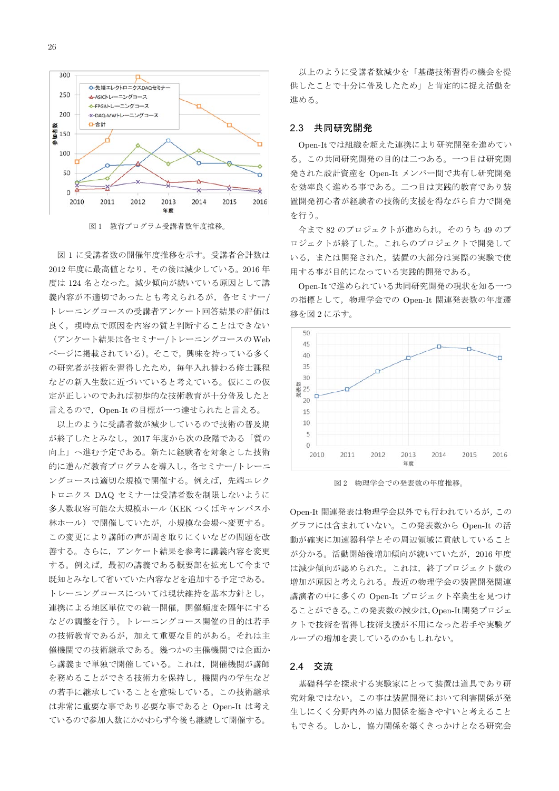

図1 教育プログラム受講者数年度推移。

図1に受講者数の開催年度推移を示す。受講者合計数は 2012年度に最高値となり、その後は減少している。2016年 度は 124 名となった。減少傾向が続いている原因として講 義内容が不適切であったとも考えられるが、各セミナー/ トレーニングコースの受講者アンケート回答結果の評価は 良く、現時点で原因を内容の質と判断することはできない (アンケート結果は各セミナー/トレーニングコースのWeb ページに掲載されている)。そこで、興味を持っている多く の研究者が技術を習得したため、毎年入れ替わる修士課程 などの新入生数に近づいていると考えている。仮にこの仮 定が正しいのであれば初歩的な技術教育が十分普及したと 言えるので、Open-It の目標が一つ達せられたと言える。

以上のように受講者数が減少しているので技術の普及期 が終了したとみなし、2017年度から次の段階である「質の 向上」へ進む予定である。新たに経験者を対象とした技術 的に進んだ教育プログラムを導入し、各セミナー/トレーニ ングコースは適切な規模で開催する。例えば、先端エレク トロニクス DAQ セミナーは受講者数を制限しないように 多人数収容可能な大規模ホール (KEK つくばキャンパス小 林ホール)で開催していたが、小規模な会場へ変更する。 この変更により講師の声が聞き取りにくいなどの問題を改 善する。さらに、アンケート結果を参考に講義内容を変更 する。例えば、最初の講義である概要部を拡充して今まで 既知とみなして省いていた内容などを追加する予定である。 トレーニングコースについては現状維持を基本方針とし, 連携による地区単位での統一開催、開催頻度を隔年にする などの調整を行う。トレーニングコース開催の目的は若手 の技術教育であるが、加えて重要な目的がある。それは主 催機関での技術継承である。幾つかの主催機関では企画か ら講義まで単独で開催している。これは、開催機関が講師 を務めることができる技術力を保持し、機関内の学生など の若手に継承していることを意味している。この技術継承 は非常に重要な事であり必要な事であると Open-It は考え ているので参加人数にかかわらず今後も継続して開催する。

以上のように受講者数減少を「基礎技術習得の機会を提 供したことで十分に普及したため」と肯定的に捉え活動を 進める。

#### 2.3 共同研究開発

Open-It では組織を超えた連携により研究開発を進めてい る。この共同研究開発の目的は二つある。一つ目は研究開 発された設計資産を Open-It メンバー間で共有し研究開発 を効率良く進める事である。二つ目は実践的教育であり装 置開発初心者が経験者の技術的支援を得ながら自力で開発 を行う。

今まで82のプロジェクトが進められ、そのうち49のプ ロジェクトが終了した。これらのプロジェクトで開発して いる、または開発された、装置の大部分は実際の実験で使 用する事が目的になっている実践的開発である。

Open-It で進められている共同研究開発の現状を知る一つ の指標として、物理学会での Open-It 関連発表数の年度遷 移を図2に示す。



図2 物理学会での発表数の年度推移。

Open-It 関連発表は物理学会以外でも行われているが、この グラフには含まれていない。この発表数から Open-It の活 動が確実に加速器科学とその周辺領域に貢献していること が分かる。活動開始後増加傾向が続いていたが、2016年度 は減少傾向が認められた。これは、終了プロジェクト数の 増加が原因と考えられる。最近の物理学会の装置開発関連 講演者の中に多くの Open-It プロジェクト卒業生を見つけ ることができる。この発表数の減少は, Open-It 開発プロジェ クトで技術を習得し技術支援が不用になった若手や実験グ ループの増加を表しているのかもしれない。

#### 2.4 交流

基礎科学を探求する実験家にとって装置は道具であり研 究対象ではない。この事は装置開発において利害関係が発 生しにくく分野内外の協力関係を築きやすいと考えること もできる。しかし、協力関係を築くきっかけとなる研究会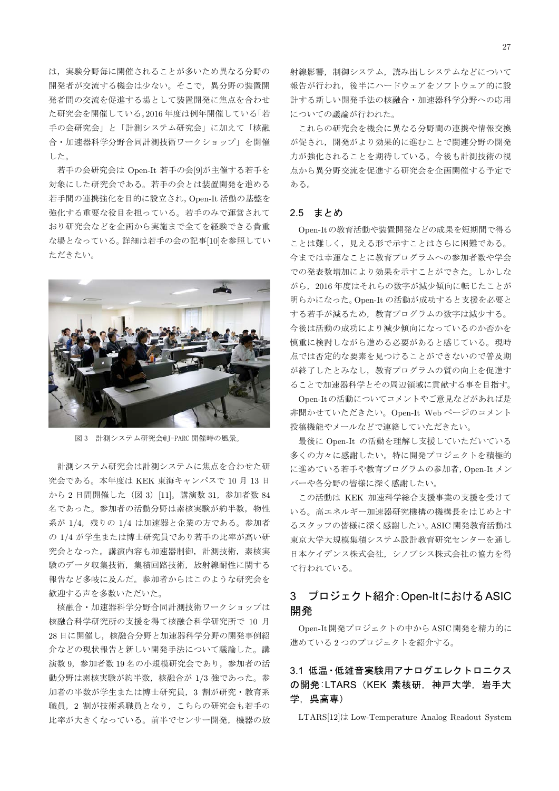は、実験分野毎に開催されることが多いため異なる分野の 開発者が交流する機会は少ない。そこで、異分野の装置開 発者間の交流を促進する場として装置開発に焦点を合わせ た研究会を開催している。2016年度は例年開催している「若 手の会研究会」と「計測システム研究会」に加えて「核融 合・加速器科学分野合同計測技術ワークショップ」を開催 した。

若手の会研究会は Open-It 若手の会[9]が主催する若手を 対象にした研究会である。若手の会とは装置開発を進める 若手間の連携強化を目的に設立され, Open-It 活動の基盤を 強化する重要な役目を担っている。若手のみで運営されて おり研究会などを企画から実施まで全てを経験できる貴重 な場となっている。詳細は若手の会の記事[10]を参照してい ただきたい。



図3 計測システム研究会@J-PARC 開催時の風景。

計測システム研究会は計測システムに焦点を合わせた研 究会である。本年度は KEK 東海キャンパスで 10 月 13 日 から2日間開催した (図 3) [11]。講演数 31, 参加者数 84 名であった。参加者の活動分野は素核実験が約半数、物性 系が 1/4, 残りの 1/4 は加速器と企業の方である。参加者 の 1/4 が学生または博士研究員であり若手の比率が高い研 究会となった。講演内容も加速器制御、計測技術、素核実 験のデータ収集技術、集積回路技術、放射線耐性に関する 報告など多岐に及んだ。参加者からはこのような研究会を 歓迎する声を多数いただいた。

核融合・加速器科学分野合同計測技術ワークショップは 核融合科学研究所の支援を得て核融合科学研究所で 10 月 28日に開催し、核融合分野と加速器科学分野の開発事例紹 介などの現状報告と新しい開発手法について議論した。講 演数 9, 参加者数 19名の小規模研究会であり、参加者の活 動分野は素核実験が約半数、核融合が 1/3 強であった。参 加者の半数が学生または博士研究員, 3割が研究·教育系 職員, 2割が技術系職員となり、こちらの研究会も若手の 比率が大きくなっている。前半でセンサー開発、機器の放

射線影響、制御システム、読み出しシステムなどについて 報告が行われ、後半にハードウェアをソフトウェア的に設 計する新しい開発手法の核融合・加速器科学分野への応用 についての議論が行われた。

これらの研究会を機会に異なる分野間の連携や情報交換 が促され、開発がより効果的に進むことで関連分野の開発 力が強化されることを期待している。今後も計測技術の視 点から異分野交流を促進する研究会を企画開催する予定で ある。

#### 2.5 まとめ

Open-Itの教育活動や装置開発などの成果を短期間で得る ことは難しく、見える形で示すことはさらに困難である。 今までは幸運なことに教育プログラムへの参加者数や学会 での発表数増加により効果を示すことができた。しかしな がら、2016年度はそれらの数字が減少傾向に転じたことが 明らかになった。Open-It の活動が成功すると支援を必要と する若手が減るため、教育プログラムの数字は減少する。 今後は活動の成功により減少傾向になっているのか否かを 慎重に検討しながら進める必要があると感じている。現時 点では否定的な要素を見つけることができないので普及期 が終了したとみなし、教育プログラムの質の向上を促進す ることで加速器科学とその周辺領域に貢献する事を目指す。

Open-Itの活動についてコメントやご意見などがあれば是 非聞かせていただきたい。Open-It Web ページのコメント 投稿機能やメールなどで連絡していただきたい。

最後に Open-It の活動を理解し支援していただいている 多くの方々に感謝したい。特に開発プロジェクトを積極的 に進めている若手や教育プログラムの参加者、Open-It メン バーや各分野の皆様に深く感謝したい。

この活動は KEK 加速科学総合支援事業の支援を受けて いる。高エネルギー加速器研究機構の機構長をはじめとす るスタッフの皆様に深く感謝したい。ASIC 開発教育活動は 東京大学大規模集積システム設計教育研究センターを通し 日本ケイデンス株式会社、シノプシス株式会社の協力を得 て行われている。

# 3 プロジェクト紹介: Open-ItにおけるASIC 開発

Open-It 開発プロジェクトの中からASIC 開発を精力的に 進めている2つのプロジェクトを紹介する。

# 3.1 低温 · 低雑音実験用アナログエレクトロニクス の開発:LTARS (KEK 素核研, 神戸大学, 岩手大 学. 呉高専)

LTARS[12]は Low-Temperature Analog Readout System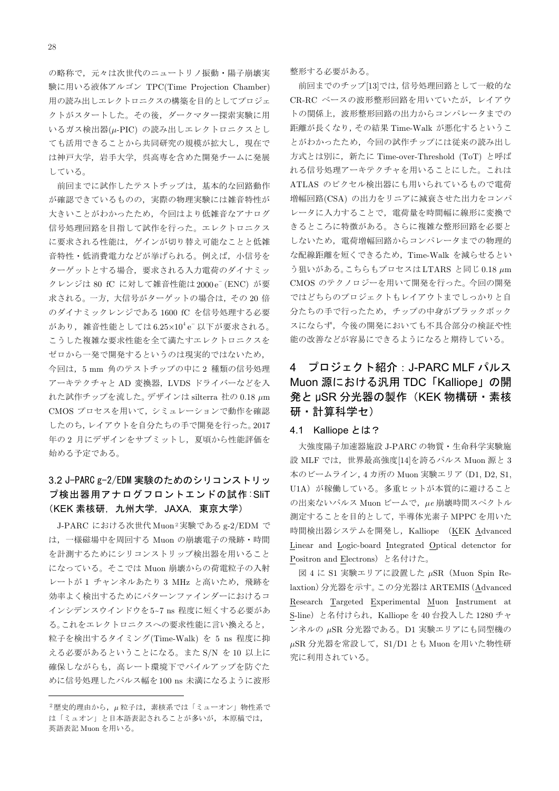の略称で、元々は次世代のニュートリノ振動・陽子崩壊実 験に用いる液体アルゴン TPC(Time Projection Chamber) 用の読み出しエレクトロニクスの構築を目的としてプロジェ クトがスタートした。その後、ダークマター探索実験に用 いるガス検出器(µ-PIC)の読み出しエレクトロニクスとし ても活用できることから共同研究の規模が拡大し、現在で は神戸大学、岩手大学、呉高専を含めた開発チームに発展 している。

前回までに試作したテストチップは、基本的な回路動作 が確認できているものの、実際の物理実験には雑音特性が 大きいことがわかったため、今回はより低雑音なアナログ 信号処理回路を目指して試作を行った。エレクトロニクス に要求される性能は、ゲインが切り替え可能なことと低雑 音特性・低消費電力などが挙げられる。例えば、小信号を ターゲットとする場合、要求される入力電荷のダイナミッ クレンジは 80 fC に対して雑音性能は 2000e<sup>-</sup> (ENC) が要 求される。一方,大信号がターゲットの場合は、その20倍 のダイナミックレンジである 1600 fC を信号処理する必要 があり、雑音性能としては $6.25\times10^4$ e 以下が要求される。 こうした複雑な要求性能を全て満たすエレクトロニクスを ゼロから一発で開発するというのは現実的ではないため, 今回は、5 mm 角のテストチップの中に2種類の信号処理 アーキテクチャと AD 変換器, LVDS ドライバーなどを入 れた試作チップを流した。デザインは silterra 社の 0.18 µm CMOS プロセスを用いて、シミュレーションで動作を確認 したのち、レイアウトを自分たちの手で開発を行った。2017

# 年の2月にデザインをサブミットし、夏頃から性能評価を 始める予定である。

# 3.2 J-PARC g-2/EDM 実験のためのシリコンストリッ プ検出器用アナログフロントエンドの試作:SliT (KEK 素核研, 九州大学, JAXA, 東京大学)

J-PARC における次世代 Muon<sup>2</sup>実験である g-2/EDM で は、一様磁場中を周回する Muon の崩壊電子の飛跡・時間 を計測するためにシリコンストリップ検出器を用いること になっている。そこでは Muon 崩壊からの荷電粒子の入射 レートが1 チャンネルあたり3 MHz と高いため、飛跡を 効率よく検出するためにパターンファインダーにおけるコ インシデンスウインドウを5~7 ns 程度に短くする必要があ る。これをエレクトロニクスへの要求性能に言い換えると, 粒子を検出するタイミング(Time-Walk) を 5 ns 程度に抑 える必要があるということになる。また S/N を 10 以上に 確保しながらも、高レート環境下でパイルアップを防ぐた めに信号処理したパルス幅を100 ns 未満になるように波形 整形する必要がある。

前回までのチップ[13]では、信号処理回路として一般的な CR-RC ベースの波形整形回路を用いていたが、レイアウ トの関係上、波形整形回路の出力からコンパレータまでの 距離が長くなり、その結果 Time-Walk が悪化するというこ とがわかったため、今回の試作チップには従来の読み出し 方式とは別に、新たに Time-over-Threshold (ToT) と呼ば れる信号処理アーキテクチャを用いることにした。これは ATLAS のピクセル検出器にも用いられているもので電荷 増幅回路(CSA)の出力をリニアに減衰させた出力をコンパ レータに入力することで、雷荷量を時間幅に線形に変換で きるところに特徴がある。さらに複雑な整形回路を必要と しないため、電荷増幅回路からコンパレータまでの物理的 な配線距離を短くできるため、Time-Walk を減らせるとい う狙いがある。こちらもプロセスはLTARS と同じ0.18  $\mu$ m CMOS のテクノロジーを用いて開発を行った。今回の開発 ではどちらのプロジェクトもレイアウトまでしっかりと自 分たちの手で行ったため、チップの中身がブラックボック スにならず、今後の開発においても不具合部分の検証や性 能の改善などが容易にできるようになると期待している。

#### プロジェクト紹介: J-PARC MLF パルス 4 Muon 源における汎用 TDC「Kalliope」の開 発と uSR 分光器の製作 (KEK 物構研・素核 研 • 計算科学セ)

#### 4.1 Kalliope とは?

大強度陽子加速器施設 J-PARC の物質・生命科学実験施 設 MLF では、世界最高強度[14]を誇るパルス Muon 源と 3 本のビームライン, 4カ所の Muon 実験エリア (D1, D2, S1, U1A) が稼働している。多重ヒットが本質的に避けること の出来ないパルス Muon ビームで、μe 崩壊時間スペクトル 測定することを目的として、半導体光素子 MPPCを用いた 時間検出器システムを開発し、Kalliope (KEK Advanced Linear and Logic-board Integrated Optical detenctor for Positron and Electrons) と名付けた。

図 4 に S1 実験エリアに設置した µSR (Muon Spin Relaxtion) 分光器を示す。この分光器は ARTEMIS (Advanced Research Targeted Experimental Muon Instrument at S-line) と名付けられ、Kalliope を 40 台投入した 1280 チャ ンネルの μSR 分光器である。D1 実験エリアにも同型機の  $\mu$ SR 分光器を常設して、S1/D1 とも Muon を用いた物性研 究に利用されている。

<sup>2</sup>歴史的理由から、μ粒子は、素核系では「ミューオン」物性系で は「ミュオン」と日本語表記されることが多いが、本原稿では、 英語表記 Muon を用いる。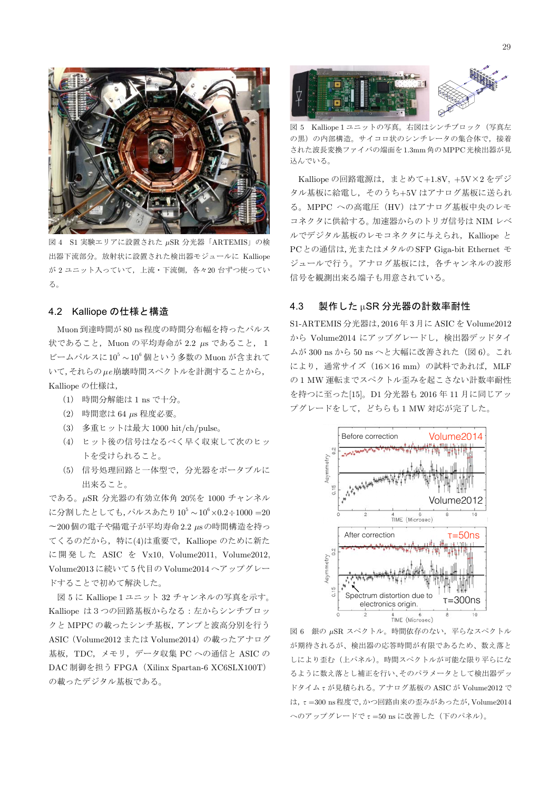

S1 実験エリアに設置された µSR 分光器「ARTEMIS」の検 出器下流部分。放射状に設置された検出器モジュールに Kalliope が2ユニット入っていて、上流・下流側、各々20台ずつ使ってい る。

#### 4.2 Kalliope の仕様と構造

Muon 到達時間が80 ns程度の時間分布幅を持ったパルス 状であること, Muon の平均寿命が 2.2 μs であること, 1 ビームパルスに $10^5 \sim 10^6$ 個という多数の Muon が含まれて いて、それらのµe崩壊時間スペクトルを計測することから、 Kalliope の仕様は,

- (1) 時間分解能は 1 ns で十分。
- (2) 時間窓は 64 μs 程度必要。
- (3) 多重ヒットは最大 1000 hit/ch/pulse。
- (4) ヒット後の信号はなるべく早く収束して次のヒッ トを受けられること。
- (5) 信号処理回路と一体型で、分光器をポータブルに 出来ること。

である。µSR 分光器の有効立体角 20%を 1000 チャンネル に分割したとしても、パルスあたり10<sup>5</sup>~10<sup>6</sup>×0.2÷1000 =20 ~200個の電子や陽電子が平均寿命2.2 µsの時間構造を持っ てくるのだから、特に(4)は重要で、Kalliope のために新た に開発した ASIC を Vx10, Volume2011, Volume2012, Volume2013に続いて5代目のVolume2014ヘアップグレー ドすることで初めて解決した。

図5に Kalliope 1 ユニット 32 チャンネルの写真を示す。 Kalliope は3つの回路基板からなる:左からシンチブロッ クと MPPCの載ったシンチ基板、アンプと波高分別を行う ASIC (Volume2012 または Volume2014) の載ったアナログ 基板、TDC、メモリ、データ収集 PC への通信と ASIC の DAC 制御を担う FPGA (Xilinx Spartan-6 XC6SLX100T) の載ったデジタル基板である。



図 5 Kalliope 1 ユニットの写真。右図はシンチブロック (写真左 の黒)の内部構造。サイコロ状のシンチレータの集合体で、接着 された波長変換ファイバの端面を1.3mm角のMPPC光検出器が見 込んでいる。

Kalliope の回路電源は、まとめて+1.8V、+5V×2をデジ タル基板に給電し、そのうち+5Vはアナログ基板に送られ る。MPPC への高電圧 (HV) はアナログ基板中央のレモ コネクタに供給する。加速器からのトリガ信号は NIM レベ ルでデジタル基板のレモコネクタに与えられ、Kalliope と PCとの通信は、光またはメタルのSFP Giga-bit Ethernet モ ジュールで行う。アナログ基板には、各チャンネルの波形 信号を観測出来る端子も用意されている。

#### $4.3$ 製作した µSR 分光器の計数率耐性

S1-ARTEMIS 分光器は, 2016年3月に ASIC を Volume2012 から Volume2014 にアップグレードし、検出器デッドタイ ムが 300 ns から 50 ns へと大幅に改善された (図6)。これ により、通常サイズ (16×16 mm) の試料であれば、MLF の1 MW 運転までスペクトル歪みを起こさない計数率耐性 を持つに至った[15]。D1 分光器も 2016年11月に同じアッ プグレードをして、どちらも1 MW 対応が完了した。



図 6 銀の μSR スペクトル。時間依存のない、平らなスペクトル が期待されるが、検出器の応答時間が有限であるため、数え落と しにより歪む(上パネル)。時間スペクトルが可能な限り平らにな るように数え落とし補正を行い、そのパラメータとして検出器デッ ドタイムτが見積られる。アナログ基板の ASIC が Volume2012 で は、τ=300 ns程度で、かつ回路由来の歪みがあったが、Volume2014 へのアップグレードでτ=50 nsに改善した (下のパネル)。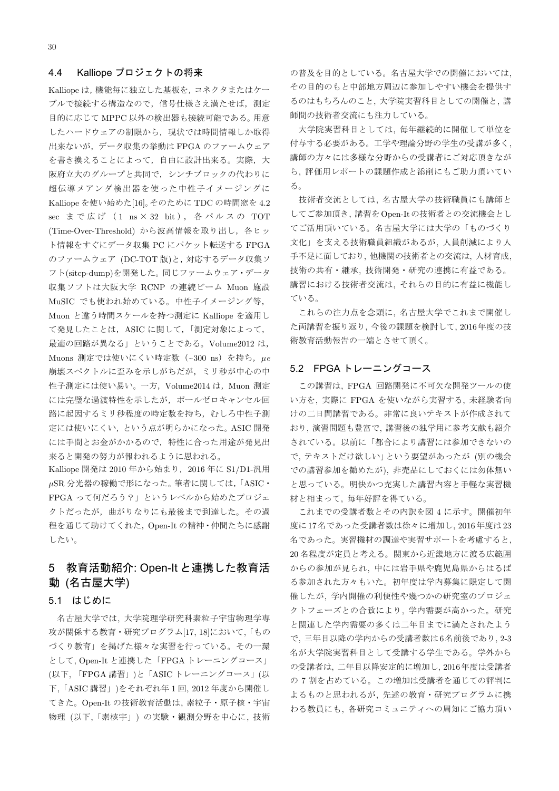#### 4.4 Kalliope プロジェクトの将来

Kalliope は、機能毎に独立した基板を、コネクタまたはケー ブルで接続する構造なので、信号仕様さえ満たせば、測定 目的に応じて MPPC 以外の検出器も接続可能である。用意 したハードウェアの制限から、現状では時間情報しか取得 出来ないが、データ収集の挙動は FPGA のファームウェア を書き換えることによって、自由に設計出来る。実際、大 阪府立大のグループと共同で、シンチブロックの代わりに 超伝導メアンダ検出器を使った中性子イメージングに Kalliope を使い始めた[16]。そのために TDC の時間窓を 4.2 sec まで広げ (1 ns × 32 bit), 各パルスの TOT (Time-Over-Threshold) から波高情報を取り出し、各ヒッ ト情報をすぐにデータ収集 PC にパケット転送する FPGA のファームウェア (DC-TOT版)と,対応するデータ収集ソ フト(sitcp-dump)を開発した。同じファームウェア・データ 収集ソフトは大阪大学 RCNP の連続ビーム Muon 施設 MuSIC でも使われ始めている。中性子イメージング等, Muon と違う時間スケールを持つ測定に Kalliope を適用し て発見したことは、ASIC に関して、「測定対象によって, 最適の回路が異なる」ということである。Volume2012 は, Muons 測定では使いにくい時定数 (~300 ns) を持ち, μe 崩壊スペクトルに歪みを示しがちだが、ミリ秒が中心の中 性子測定には使い易い。一方, Volume2014 は, Muon 測定 には完璧な過渡特性を示したが、ポールゼロキャンセル回 路に起因するミリ秒程度の時定数を持ち、むしろ中性子測 定には使いにくい、という点が明らかになった。ASIC 開発 には手間とお金がかかるので、特性に合った用途が発見出 来ると開発の努力が報われるように思われる。

Kalliope 開発は 2010 年から始まり, 2016 年に S1/D1-汎用 μSR 分光器の稼働で形になった。筆者に関しては, 「ASIC· FPGA って何だろう?」というレベルから始めたプロジェ クトだったが、曲がりなりにも最後まで到達した。その過 程を通じて助けてくれた、Open-It の精神·仲間たちに感謝 したい。

# 5 教育活動紹介: Open-It と連携した教育活 動 (名古屋大学)

#### 5.1 はじめに

名古屋大学では、大学院理学研究科素粒子宇宙物理学専 攻が関係する教育·研究プログラム[17, 18]において、「もの づくり教育」を掲げた様々な実習を行っている。その一環 として, Open-It と連携した「FPGA トレーニングコース」 (以下, 「FPGA 講習」)と「ASIC トレーニングコース」(以 下, 「ASIC 講習」)をそれぞれ年1回, 2012 年度から開催し てきた。Open-It の技術教育活動は、素粒子·原子核·宇宙 物理(以下、「素核宇」)の実験·観測分野を中心に、技術 の普及を目的としている。名古屋大学での開催においては, その目的のもと中部地方周辺に参加しやすい機会を提供す るのはもちろんのこと、大学院実習科目としての開催と、講 師間の技術者交流にも注力している。

大学院実習科目としては、毎年継続的に開催して単位を 付与する必要がある。工学や理論分野の学生の受講が多く, 講師の方々には多様な分野からの受講者にご対応頂きなが ら、評価用レポートの課題作成と添削にもご助力頂いてい  $\delta$ .

技術者交流としては、名古屋大学の技術職員にも講師と してご参加頂き、講習をOpen-Itの技術者との交流機会とし てご活用頂いている。名古屋大学には大学の「ものづくり 文化」を支える技術職員組織があるが、人員削減により人 手不足に面しており、他機関の技術者との交流は、人材育成, 技術の共有・継承、技術開発・研究の連携に有益である。 講習における技術者交流は、それらの目的に有益に機能し ていろ

これらの注力点を念頭に、名古屋大学でこれまで開催し た両講習を振り返り、今後の課題を検討して、2016年度の技 術教育活動報告の一端とさせて頂く。

## 5.2 FPGA トレーニングコース

この講習は、FPGA 回路開発に不可欠な開発ツールの使 い方を、実際に FPGA を使いながら実習する、未経験者向 けの二日間講習である。非常に良いテキストが作成されて おり、演習問題も豊富で、講習後の独学用に参考文献も紹介 されている。以前に「都合により講習には参加できないの で、テキストだけ欲しい」という要望があったが(別の機会 での講習参加を勧めたが)、非売品にしておくには勿体無い と思っている。明快かつ充実した講習内容と手軽な実習機 材と相まって、毎年好評を得ている。

これまでの受講者数とその内訳を図 4 に示す。開催初年 度に17名であった受講者数は徐々に増加し、2016年度は23 名であった。実習機材の調達や実習サポートを考慮すると、 20 名程度が定員と考える。関東から近畿地方に渡る広範囲 からの参加が見られ、中には岩手県や鹿児島県からはるば る参加された方々もいた。初年度は学内募集に限定して開 催したが、学内開催の利便性や幾つかの研究室のプロジェ クトフェーズとの合致により、学内需要が高かった。研究 と関連した学内需要の多くは二年目までに満たされたよう で、三年目以降の学内からの受講者数は6名前後であり、2-3 名が大学院実習科目として受講する学生である。学外から の受講者は、二年目以降安定的に増加し、2016年度は受講者 の7割を占めている。この増加は受講者を通じての評判に よるものと思われるが、先述の教育・研究プログラムに携 わる教員にも、各研究コミュニティへの周知にご協力頂い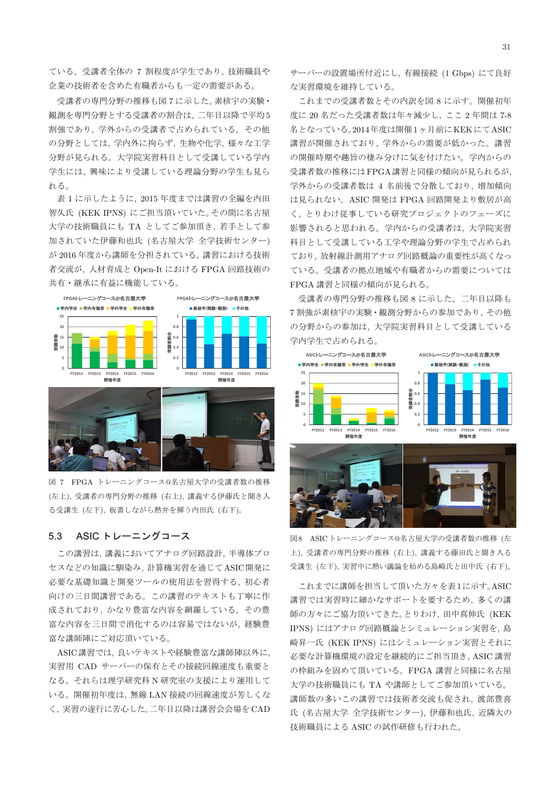ている。受講者全体の 7 割程度が学生であり、技術職員や 企業の技術者を含めた有職者からも一定の需要がある。

受講者の専門分野の推移も図7に示した。素核宇の実験・ 観測を専門分野とする受講者の割合は、二年目以降で平均5 割強であり、学外からの受講者で占められている。その他 の分野としては、学内外に拘らず、生物や化学、様々な工学 分野が見られる。大学院実習科目として受講している学内 学生には、興味により受講している理論分野の学生も見ら れる。

表1に示したように、2015年度までは講習の全編を内田 智久氏 (KEK IPNS)にご担当頂いていた。その間に名古屋 大学の技術職員にも TA としてご参加頂き、若手として参 加されていた伊藤和也氏 (名古屋大学 全学技術センター) が2016年度から講師を分担されている。講習における技術 者交流が、人材育成と Open-It における FPGA 回路技術の 共有・継承に有益に機能している。



図 7 FPGA トレーニングコース@名古屋大学の受講者数の推移 (左上)、受講者の専門分野の推移 (右上)、講義する伊藤氏と聞き入 る受講生 (左下)、板書しながら熱弁を揮う内田氏 (右下)。

#### $5.3$ ASIC トレーニングコース

この講習は、講義においてアナログ回路設計、半導体プロ セスなどの知識に馴染み、計算機実習を通じてASIC開発に 必要な基礎知識と開発ツールの使用法を習得する. 初心者 向けの三日間講習である。この講習のテキストも丁寧に作 成されており、かなり豊富な内容を網羅している。その豊 富な内容を三日間で消化するのは容易ではないが、経験豊 富な講師陣にご対応頂いている。

ASIC講習では、良いテキストや経験豊富な講師陣以外に、 実習用 CAD サーバーの保有とその接続回線速度も重要と なる。それらは理学研究科 N 研究室の支援により運用して いる。開催初年度は、無線 LAN 接続の回線速度が芳しくな く、実習の遂行に苦心した。二年目以降は講習会会場をCAD サーバーの設置場所付近にし、有線接続 (1 Gbps) にて良好 な実習環境を維持している。

これまでの受講者数とその内訳を図8に示す。開催初年 度に20名だった受講者数は年々減少し、ここ2年間は7-8 名となっている。2014年度は開催1ヶ月前にKEKにてASIC 講習が開催されており、学外からの需要が低かった。講習 の開催時期や趣旨の棲み分けに気を付けたい。学内からの 受講者数の推移にはFPGA講習と同様の傾向が見られるが. 学外からの受講者数は 4 名前後で分散しており、増加傾向 は見られない。ASIC 開発は FPGA 回路開発より敷居が高 く、とりわけ従事している研究プロジェクトのフェーズに 影響されると思われる。学内からの受講者は、大学院実習 科目として受講している工学や理論分野の学生で占められ ており. 放射線計測用アナログ回路概論の重要性が高くなっ ている。受講者の拠点地域や有職者からの需要については FPGA 講習と同様の傾向が見られる。

受講者の専門分野の推移も図8に示した。二年目以降も 7割強が素核宇の実験·観測分野からの参加であり、その他 の分野からの参加は、大学院実習科目として受講している 学内学生で占められる。



図8 ASICトレーニングコース@名古屋大学の受講者数の推移(左 上). 受講者の専門分野の推移 (右上). 講義する藤田氏と聞き入る 受講生 (左下),実習中に熱い議論を始める島崎氏と田中氏 (右下)。

これまでに講師を担当して頂いた方々を表1に示す。ASIC 講習では実習時に細かなサポートを要するため、多くの講 師の方々にご協力頂いてきた。とりわけ、田中真伸氏 (KEK IPNS)にはアナログ回路概論とシミュレーション実習を、島 崎昇一氏 (KEK IPNS) にはシミュレーション実習とそれに 必要な計算機環境の設定を継続的にご担当頂き、ASIC講習 の枠組みを固めて頂いている。FPGA 講習と同様に名古屋 大学の技術職員にも TA や講師としてご参加頂いている。 講師数の多いこの講習では技術者交流も促され、渡部豊喜 氏 (名古屋大学 全学技術センター), 伊藤和也氏, 近隣大の 技術職員による ASIC の試作研修も行われた。